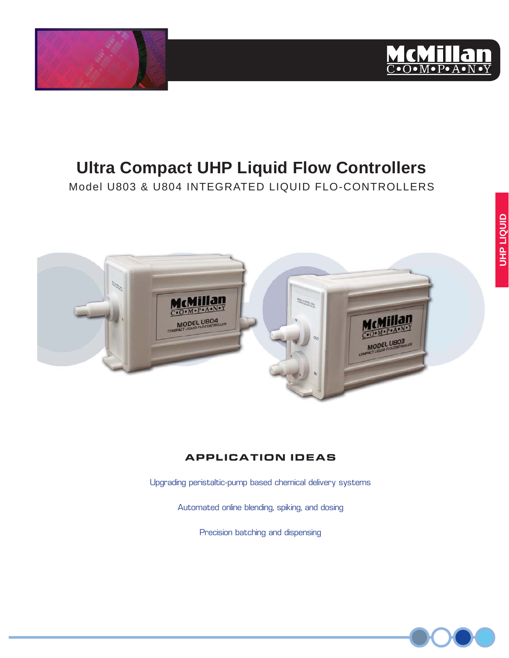



# **Ultra Compact UHP Liquid Flow Controllers**

Model U803 & U804 INTEGRATED LIQUID FLO-CONTROLLERS



## **APPLICATION IDEAS**

Upgrading peristaltic-pump based chemical delivery systems

Automated online blending, spiking, and dosing

Precision batching and dispensing

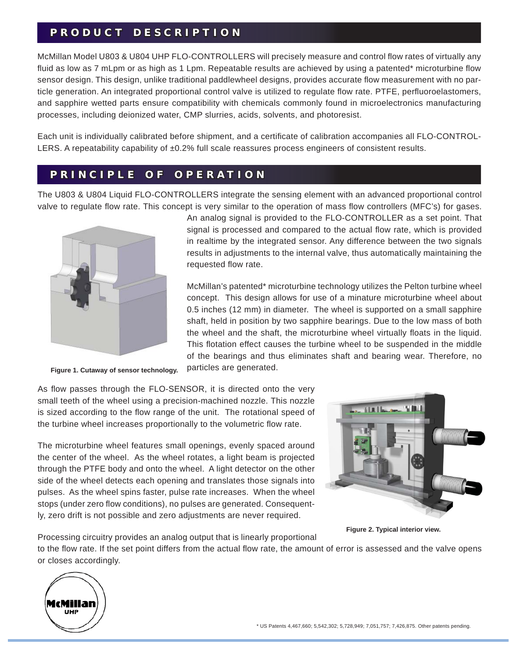## **PRODUCT DESCRIPTION R O D U C T D E S C R I P T I O N**

McMillan Model U803 & U804 UHP FLO-CONTROLLERS will precisely measure and control flow rates of virtually any fluid as low as 7 mLpm or as high as 1 Lpm. Repeatable results are achieved by using a patented\* microturbine flow sensor design. This design, unlike traditional paddlewheel designs, provides accurate flow measurement with no particle generation. An integrated proportional control valve is utilized to regulate flow rate. PTFE, perfluoroelastomers, and sapphire wetted parts ensure compatibility with chemicals commonly found in microelectronics manufacturing processes, including deionized water, CMP slurries, acids, solvents, and photoresist.

Each unit is individually calibrated before shipment, and a certificate of calibration accompanies all FLO-CONTROL-LERS. A repeatability capability of ±0.2% full scale reassures process engineers of consistent results.

## **PRINCIPLE OF OPERATION R I N C I P L E O F O P E R A T I O N**

The U803 & U804 Liquid FLO-CONTROLLERS integrate the sensing element with an advanced proportional control valve to regulate flow rate. This concept is very similar to the operation of mass flow controllers (MFC's) for gases.



**Figure 1. Cutaway of sensor technology.**

An analog signal is provided to the FLO-CONTROLLER as a set point. That signal is processed and compared to the actual flow rate, which is provided in realtime by the integrated sensor. Any difference between the two signals results in adjustments to the internal valve, thus automatically maintaining the requested flow rate.

McMillan's patented\* microturbine technology utilizes the Pelton turbine wheel concept. This design allows for use of a minature microturbine wheel about 0.5 inches (12 mm) in diameter. The wheel is supported on a small sapphire shaft, held in position by two sapphire bearings. Due to the low mass of both the wheel and the shaft, the microturbine wheel virtually floats in the liquid. This flotation effect causes the turbine wheel to be suspended in the middle of the bearings and thus eliminates shaft and bearing wear. Therefore, no particles are generated.

As flow passes through the FLO-SENSOR, it is directed onto the very small teeth of the wheel using a precision-machined nozzle. This nozzle is sized according to the flow range of the unit. The rotational speed of the turbine wheel increases proportionally to the volumetric flow rate.

The microturbine wheel features small openings, evenly spaced around the center of the wheel. As the wheel rotates, a light beam is projected through the PTFE body and onto the wheel. A light detector on the other side of the wheel detects each opening and translates those signals into pulses. As the wheel spins faster, pulse rate increases. When the wheel stops (under zero flow conditions), no pulses are generated. Consequently, zero drift is not possible and zero adjustments are never required.



**Figure 2. Typical interior view.**

Processing circuitry provides an analog output that is linearly proportional to the flow rate. If the set point differs from the actual flow rate, the amount of error is assessed and the valve opens or closes accordingly.

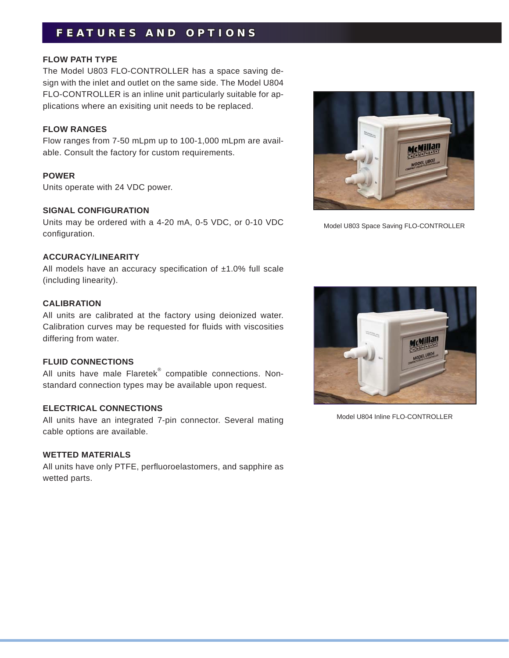## **FEATURES AND OPTIONS E A T U R E S A N D O P T I O N S**

#### **FLOW PATH TYPE**

The Model U803 FLO-CONTROLLER has a space saving design with the inlet and outlet on the same side. The Model U804 FLO-CONTROLLER is an inline unit particularly suitable for applications where an exisiting unit needs to be replaced.

#### **FLOW RANGES**

Flow ranges from 7-50 mLpm up to 100-1,000 mLpm are available. Consult the factory for custom requirements.

#### **POWER**

Units operate with 24 VDC power.

#### **SIGNAL CONFIGURATION**

Units may be ordered with a 4-20 mA, 0-5 VDC, or 0-10 VDC configuration.

#### **ACCURACY/LINEARITY**

All models have an accuracy specification of  $±1.0\%$  full scale (including linearity).

#### **CALIBRATION**

All units are calibrated at the factory using deionized water. Calibration curves may be requested for fluids with viscosities differing from water.

#### **FLUID CONNECTIONS**

All units have male Flaretek<sup>®</sup> compatible connections. Nonstandard connection types may be available upon request.

#### **ELECTRICAL CONNECTIONS**

All units have an integrated 7-pin connector. Several mating cable options are available.

#### **WETTED MATERIALS**

All units have only PTFE, perfluoroelastomers, and sapphire as wetted parts.



Model U803 Space Saving FLO-CONTROLLER



Model U804 Inline FLO-CONTROLLER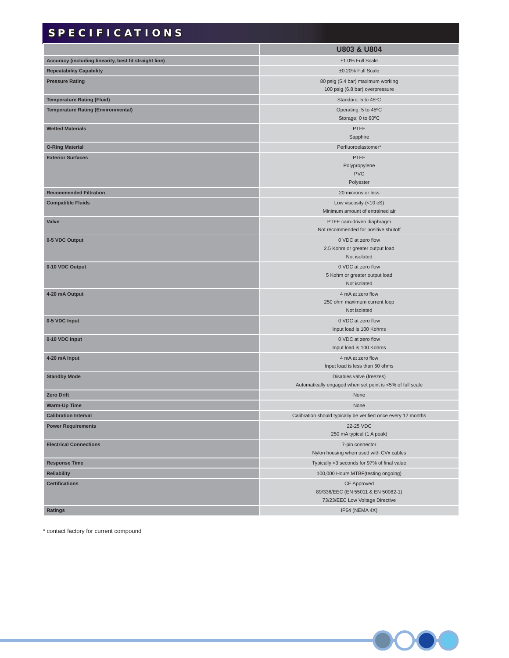## **SPECIFICATIONS P E C I F I C A T I O N S**

|                                                        | <b>U803 &amp; U804</b>                                                                      |
|--------------------------------------------------------|---------------------------------------------------------------------------------------------|
| Accuracy (including linearity, best fit straight line) | ±1.0% Full Scale                                                                            |
| <b>Repeatability Capability</b>                        | ±0.20% Full Scale                                                                           |
| <b>Pressure Rating</b>                                 | 80 psig (5.4 bar) maximum working                                                           |
|                                                        | 100 psig (6.8 bar) overpressure                                                             |
| <b>Temperature Rating (Fluid)</b>                      | Standard: 5 to 45°C                                                                         |
| <b>Temperature Rating (Environmental)</b>              | Operating: 5 to 45°C<br>Storage: 0 to 60°C                                                  |
| <b>Wetted Materials</b>                                | <b>PTFE</b><br>Sapphire                                                                     |
| <b>O-Ring Material</b>                                 | Perfluoroelastomer*                                                                         |
| <b>Exterior Surfaces</b>                               | <b>PTFE</b><br>Polypropylene<br><b>PVC</b>                                                  |
|                                                        | Polyester                                                                                   |
| <b>Recommended Filtration</b>                          | 20 microns or less                                                                          |
| <b>Compatible Fluids</b>                               | Low viscosity (<10 cS)<br>Minimum amount of entrained air                                   |
| Valve                                                  | PTFE cam-driven diaphragm<br>Not recommended for positive shutoff                           |
| 0-5 VDC Output                                         | 0 VDC at zero flow<br>2.5 Kohm or greater output load<br>Not isolated                       |
| 0-10 VDC Output                                        | 0 VDC at zero flow<br>5 Kohm or greater output load<br>Not isolated                         |
| 4-20 mA Output                                         | 4 mA at zero flow<br>250 ohm maximum current loop<br>Not isolated                           |
| 0-5 VDC Input                                          | 0 VDC at zero flow<br>Input load is 100 Kohms                                               |
| 0-10 VDC Input                                         | 0 VDC at zero flow<br>Input load is 100 Kohms                                               |
| 4-20 mA Input                                          | 4 mA at zero flow<br>Input load is less than 50 ohms                                        |
| <b>Standby Mode</b>                                    | Disables valve (freezes)<br>Automatically engaged when set point is <5% of full scale       |
| <b>Zero Drift</b>                                      | None                                                                                        |
| <b>Warm-Up Time</b>                                    | None                                                                                        |
| <b>Calibration Interval</b>                            | Calibration should typically be verified once every 12 months                               |
| <b>Power Requirements</b>                              | 22-25 VDC<br>250 mA typical (1 A peak)                                                      |
| <b>Electrical Connections</b>                          | 7-pin connector<br>Nylon housing when used with CVx cables                                  |
| <b>Response Time</b>                                   | Typically <3 seconds for 97% of final value                                                 |
| <b>Reliability</b>                                     | 100,000 Hours MTBF(testing ongoing)                                                         |
| <b>Certifications</b>                                  | <b>CE Approved</b><br>89/336/EEC (EN 55011 & EN 50082-1)<br>73/23/EEC Low Voltage Directive |
| <b>Ratings</b>                                         | IP64 (NEMA 4X)                                                                              |

\* contact factory for current compound

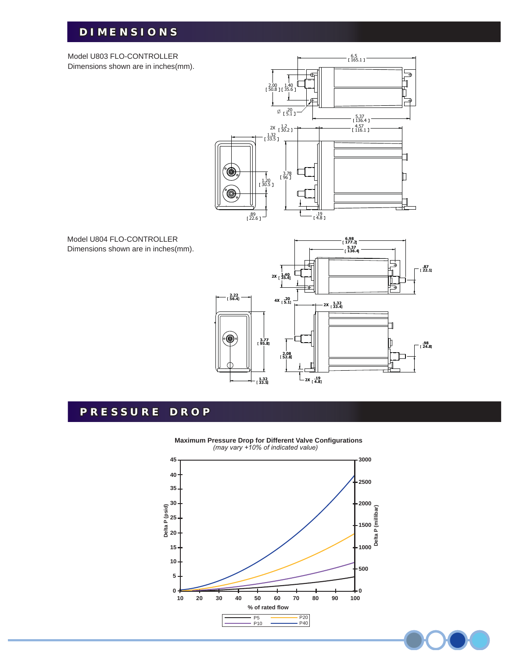## **DIMENSIONS I M E N S I O N S**

Model U803 FLO-CONTROLLER Dimensions shown are in inches(mm).



Model U804 FLO-CONTROLLER Dimensions shown are in inches(mm).



## **PRESSURE DROP R E S S U R E D R O P**